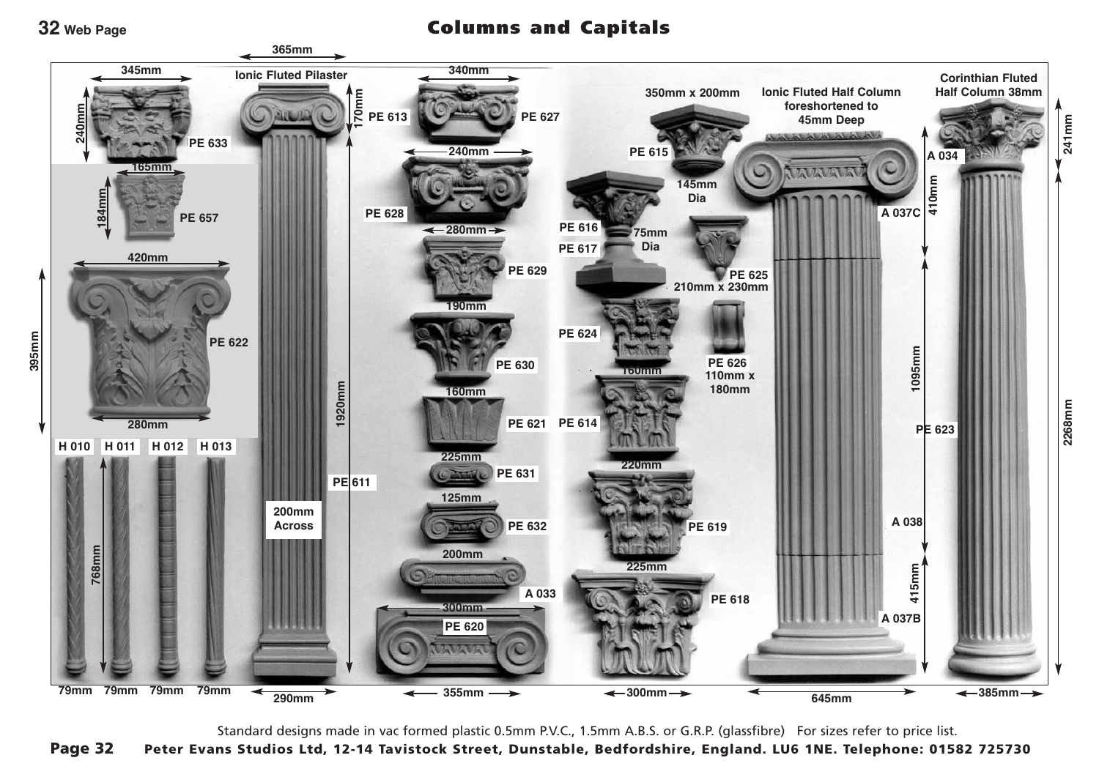**32 Web Page**

## Columns and Capitals



Standard designs made in vac formed plastic 0.5mm P.V.C., 1.5mm A.B.S. or G.R.P. (glassfibre) For sizes refer to price list.

Page 32 Peter Evans Studios Ltd, 12-14 Tavistock Street, Dunstable, Bedfordshire, England. LU6 1NE. Telephone: 01582 725730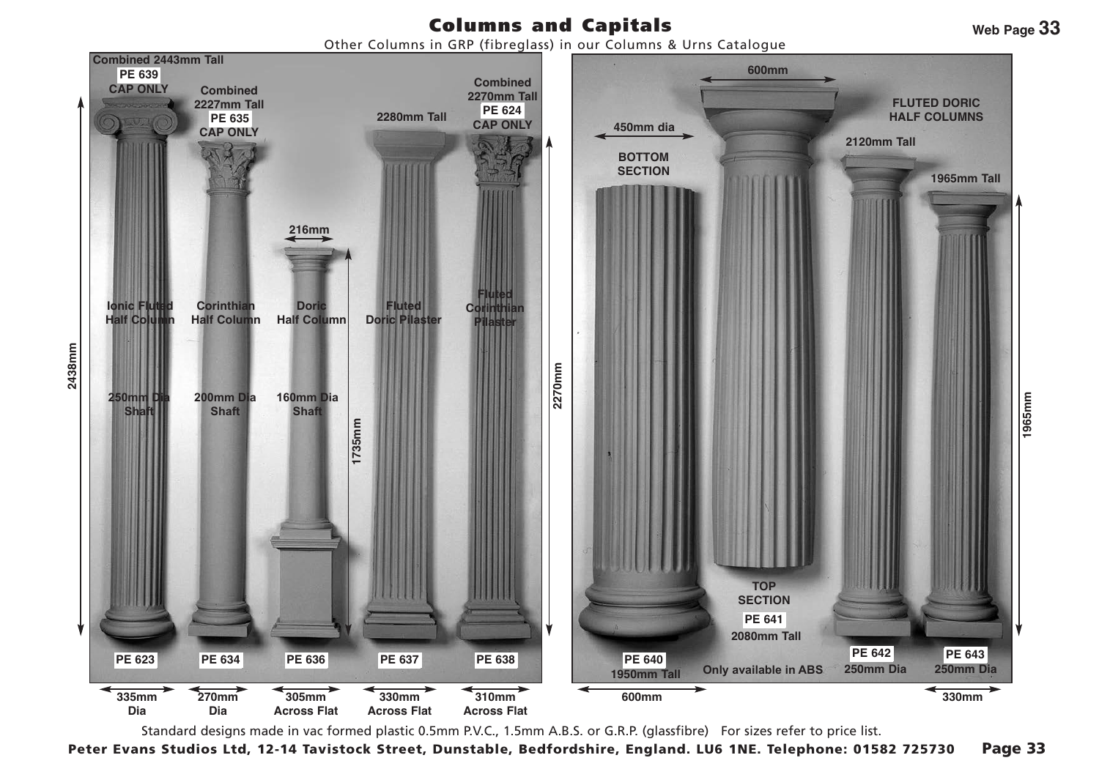Other Columns in GRP (fibreglass) in our Columns & Urns Catalogue

## Columns and Capitals

**600mm**

PE 624<br>CAP ONLY **PE 623 PE 634 PE 636 PE 637 PE 638 PE 640 PE 641 PE 642 PE 643 PE 635 CAP ONLY CAP ONLY CAP ONLY BOTTOM SECTION FLUTED DORIC HALF COLUMNS TOP SECTION Corinthian Half Column Ionic Fl Half Colum Dori Half Column Fluted Doric Pilaster Fluted Corinthian Pilaster 2270mm 1735mm 450mm dia 216mm 1950mm Tall 2080mm Tall 2120mm Tall 250mm Dia 250mm Dia 1965mm Tall Combined 2227mm Tall Combined 2270mm Tall 2280mm Tall 250mm Dia Sha 200mm Dia Shaft 160mm Dia Shaft Only available in ABS**

Standard designs made in vac formed plastic 0.5mm P.V.C., 1.5mm A.B.S. or G.R.P. (glassfibre) For sizes refer to price list.

**310mm Across Flat**

Peter Evans Studios Ltd, 12-14 Tavistock Street, Dunstable, Bedfordshire, England. LU6 1NE. Telephone: 01582 725730 Page 33

**270mm 600mm 330mm**

**2438mm**

**PE 639**

**Combined 2443mm Tall**

**Dia**

**335mm Dia**

**305mm Across Flat**

**330mm Across Flat** **Web Page 33**

**1965mm**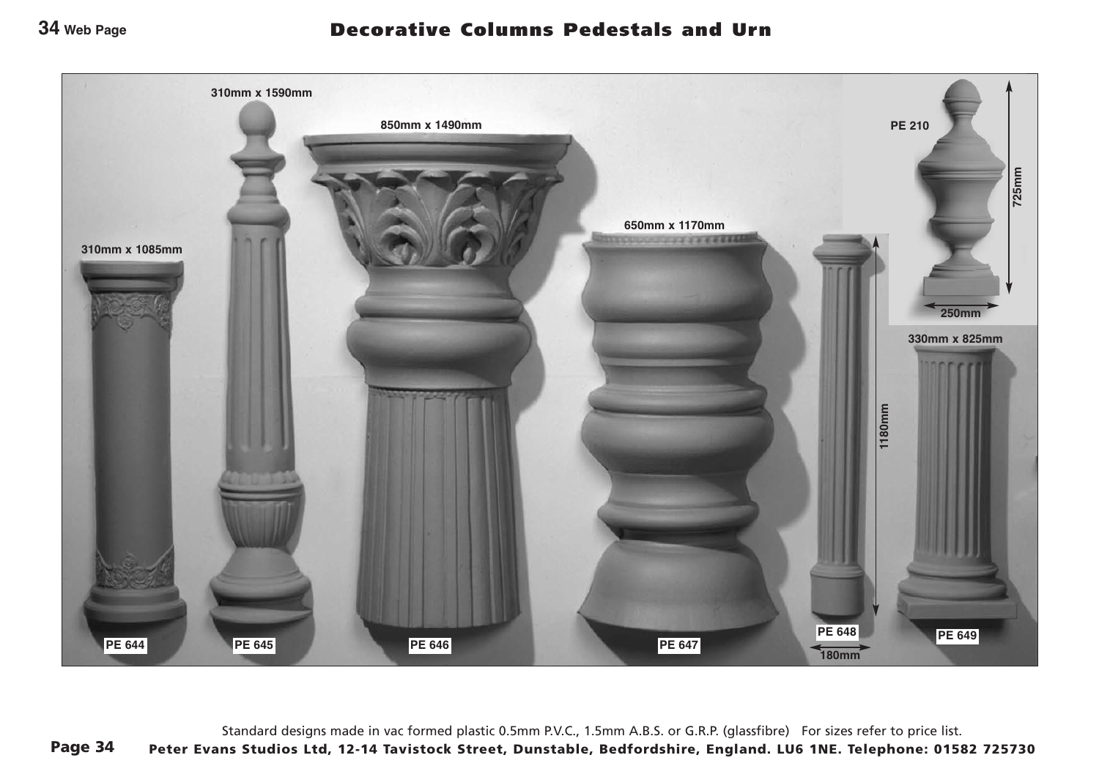

Standard designs made in vac formed plastic 0.5mm P.V.C., 1.5mm A.B.S. or G.R.P. (glassfibre) For sizes refer to price list. Page 34 Peter Evans Studios Ltd, 12-14 Tavistock Street, Dunstable, Bedfordshire, England. LU6 1NE. Telephone: 01582 725730